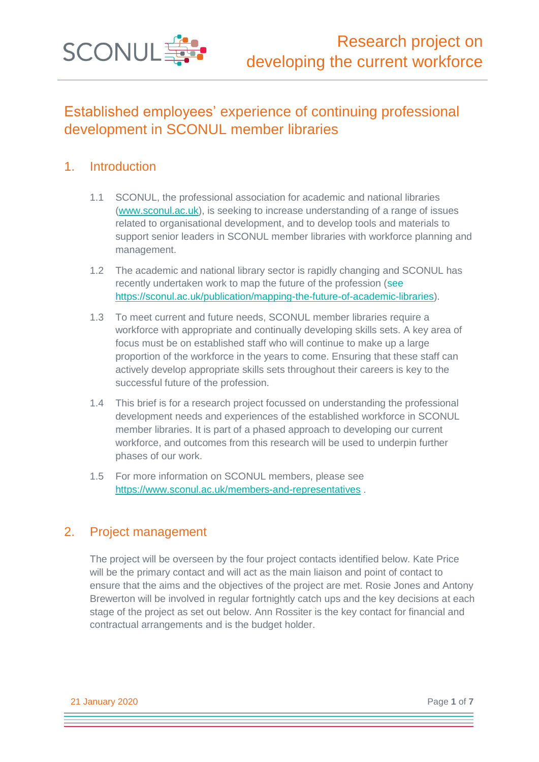

# Established employees' experience of continuing professional development in SCONUL member libraries

## 1. Introduction

- 1.1 SCONUL, the professional association for academic and national libraries [\(www.sconul.ac.uk\)](http://www.sconul.ac.uk/), is seeking to increase understanding of a range of issues related to organisational development, and to develop tools and materials to support senior leaders in SCONUL member libraries with workforce planning and management.
- 1.2 The academic and national library sector is rapidly changing and SCONUL has recently undertaken work to map the future of the profession (see [https://sconul.ac.uk/publication/mapping-the-future-of-academic-libraries\)](https://sconul.ac.uk/publication/mapping-the-future-of-academic-libraries).
- 1.3 To meet current and future needs, SCONUL member libraries require a workforce with appropriate and continually developing skills sets. A key area of focus must be on established staff who will continue to make up a large proportion of the workforce in the years to come. Ensuring that these staff can actively develop appropriate skills sets throughout their careers is key to the successful future of the profession.
- 1.4 This brief is for a research project focussed on understanding the professional development needs and experiences of the established workforce in SCONUL member libraries. It is part of a phased approach to developing our current workforce, and outcomes from this research will be used to underpin further phases of our work.
- 1.5 For more information on SCONUL members, please see <https://www.sconul.ac.uk/members-and-representatives> .

## 2. Project management

The project will be overseen by the four project contacts identified below. Kate Price will be the primary contact and will act as the main liaison and point of contact to ensure that the aims and the objectives of the project are met. Rosie Jones and Antony Brewerton will be involved in regular fortnightly catch ups and the key decisions at each stage of the project as set out below. Ann Rossiter is the key contact for financial and contractual arrangements and is the budget holder.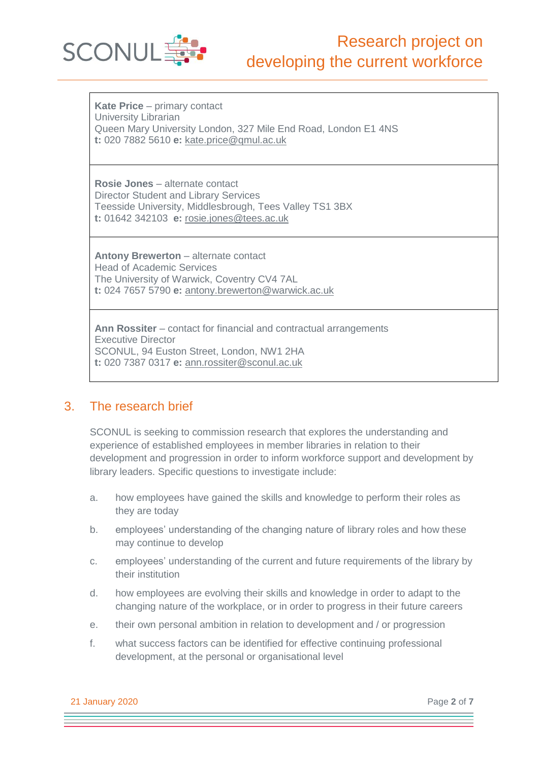

**Kate Price** – primary contact University Librarian Queen Mary University London, 327 Mile End Road, London E1 4NS **t:** 020 7882 5610 **e:** [kate.price@qmul.ac.uk](mailto:kate.price@qmul.ac.uk)

**Rosie Jones** – alternate contact Director Student and Library Services Teesside University, Middlesbrough, Tees Valley TS1 3BX **t:** 01642 342103 **e:** [rosie.jones@tees.ac.uk](mailto:rosie.jones@tees.ac.uk)

**Antony Brewerton** – alternate contact Head of Academic Services The University of Warwick, Coventry CV4 7AL **t:** 024 7657 5790 **e:** [antony.brewerton@warwick.ac.uk](mailto:antony.brewerton@warwick.ac.uk)

**Ann Rossiter** – contact for financial and contractual arrangements Executive Director SCONUL, 94 Euston Street, London, NW1 2HA **t:** 020 7387 0317 **e:** [ann.rossiter@sconul.ac.uk](mailto:ann.rossiter@sconul.ac.uk)

## 3. The research brief

SCONUL is seeking to commission research that explores the understanding and experience of established employees in member libraries in relation to their development and progression in order to inform workforce support and development by library leaders. Specific questions to investigate include:

- a. how employees have gained the skills and knowledge to perform their roles as they are today
- b. employees' understanding of the changing nature of library roles and how these may continue to develop
- c. employees' understanding of the current and future requirements of the library by their institution
- d. how employees are evolving their skills and knowledge in order to adapt to the changing nature of the workplace, or in order to progress in their future careers
- e. their own personal ambition in relation to development and / or progression
- f. what success factors can be identified for effective continuing professional development, at the personal or organisational level

21 January 2020 Page **2** of **7**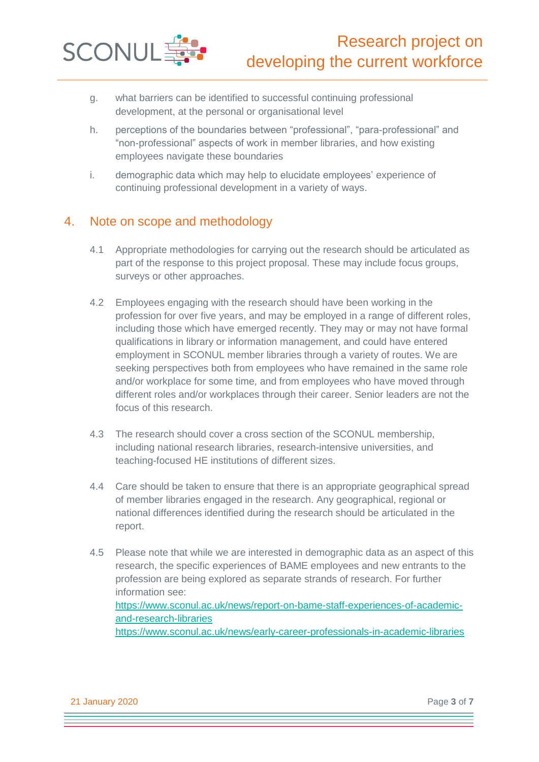

- g. what barriers can be identified to successful continuing professional development, at the personal or organisational level
- h. perceptions of the boundaries between "professional", "para-professional" and "non-professional" aspects of work in member libraries, and how existing employees navigate these boundaries
- i. demographic data which may help to elucidate employees' experience of continuing professional development in a variety of ways.

## 4. Note on scope and methodology

- 4.1 Appropriate methodologies for carrying out the research should be articulated as part of the response to this project proposal. These may include focus groups, surveys or other approaches.
- 4.2 Employees engaging with the research should have been working in the profession for over five years, and may be employed in a range of different roles, including those which have emerged recently. They may or may not have formal qualifications in library or information management, and could have entered employment in SCONUL member libraries through a variety of routes. We are seeking perspectives both from employees who have remained in the same role and/or workplace for some time, and from employees who have moved through different roles and/or workplaces through their career. Senior leaders are not the focus of this research.
- 4.3 The research should cover a cross section of the SCONUL membership, including national research libraries, research-intensive universities, and teaching-focused HE institutions of different sizes.
- 4.4 Care should be taken to ensure that there is an appropriate geographical spread of member libraries engaged in the research. Any geographical, regional or national differences identified during the research should be articulated in the report.
- 4.5 Please note that while we are interested in demographic data as an aspect of this research, the specific experiences of BAME employees and new entrants to the profession are being explored as separate strands of research. For further information see: [https://www.sconul.ac.uk/news/report-on-bame-staff-experiences-of-academic](https://www.sconul.ac.uk/news/report-on-bame-staff-experiences-of-academic-and-research-libraries)[and-research-libraries](https://www.sconul.ac.uk/news/report-on-bame-staff-experiences-of-academic-and-research-libraries) <https://www.sconul.ac.uk/news/early-career-professionals-in-academic-libraries>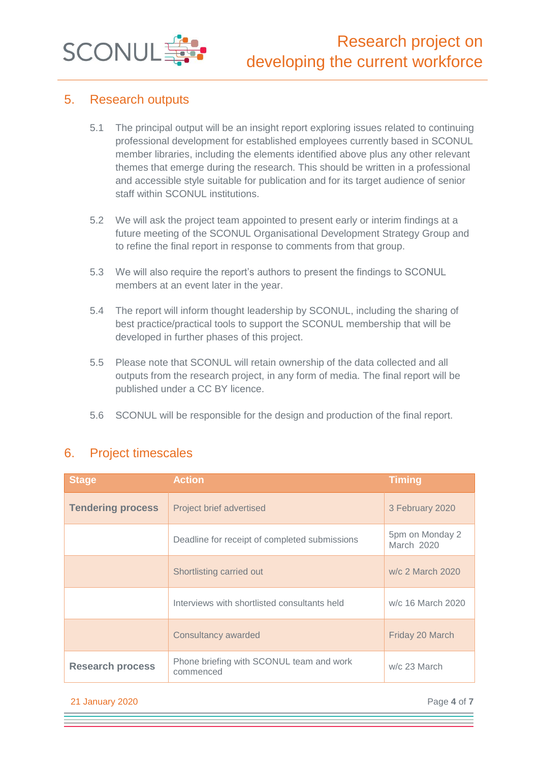

### 5. Research outputs

- 5.1 The principal output will be an insight report exploring issues related to continuing professional development for established employees currently based in SCONUL member libraries, including the elements identified above plus any other relevant themes that emerge during the research. This should be written in a professional and accessible style suitable for publication and for its target audience of senior staff within SCONUL institutions.
- 5.2 We will ask the project team appointed to present early or interim findings at a future meeting of the SCONUL Organisational Development Strategy Group and to refine the final report in response to comments from that group.
- 5.3 We will also require the report's authors to present the findings to SCONUL members at an event later in the year.
- 5.4 The report will inform thought leadership by SCONUL, including the sharing of best practice/practical tools to support the SCONUL membership that will be developed in further phases of this project.
- 5.5 Please note that SCONUL will retain ownership of the data collected and all outputs from the research project, in any form of media. The final report will be published under a CC BY licence.
- 5.6 SCONUL will be responsible for the design and production of the final report.

| <b>Stage</b>             | <b>Action</b>                                         | <b>Timing</b>                 |
|--------------------------|-------------------------------------------------------|-------------------------------|
| <b>Tendering process</b> | Project brief advertised                              | 3 February 2020               |
|                          | Deadline for receipt of completed submissions         | 5pm on Monday 2<br>March 2020 |
|                          | Shortlisting carried out                              | w/c 2 March 2020              |
|                          | Interviews with shortlisted consultants held          | w/c 16 March 2020             |
|                          | <b>Consultancy awarded</b>                            | Friday 20 March               |
| <b>Research process</b>  | Phone briefing with SCONUL team and work<br>commenced | w/c 23 March                  |

## 6. Project timescales

#### 21 January 2020 Page **4** of **7**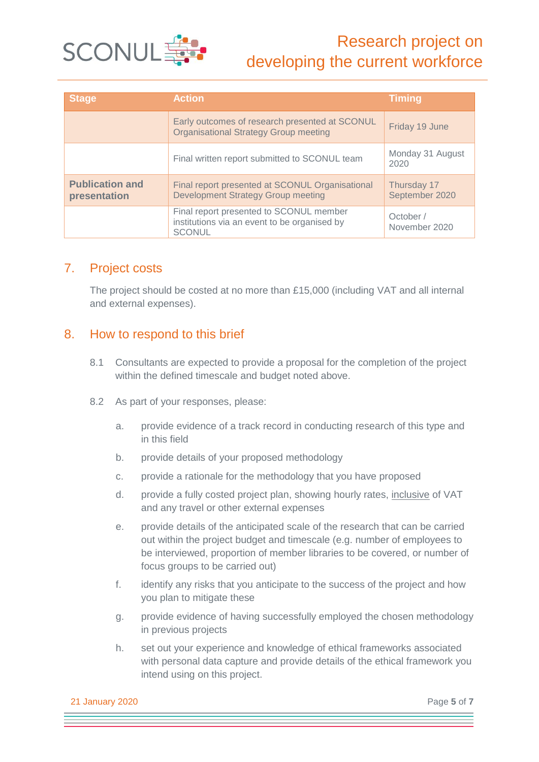

| <b>Stage</b>                           | <b>Action</b>                                                                                            | <b>Timing</b>                 |
|----------------------------------------|----------------------------------------------------------------------------------------------------------|-------------------------------|
|                                        | Early outcomes of research presented at SCONUL<br><b>Organisational Strategy Group meeting</b>           | Friday 19 June                |
|                                        | Final written report submitted to SCONUL team                                                            | Monday 31 August<br>2020      |
| <b>Publication and</b><br>presentation | Final report presented at SCONUL Organisational<br><b>Development Strategy Group meeting</b>             | Thursday 17<br>September 2020 |
|                                        | Final report presented to SCONUL member<br>institutions via an event to be organised by<br><b>SCONUL</b> | October /<br>November 2020    |

## 7. Project costs

The project should be costed at no more than £15,000 (including VAT and all internal and external expenses).

## 8. How to respond to this brief

- 8.1 Consultants are expected to provide a proposal for the completion of the project within the defined timescale and budget noted above.
- 8.2 As part of your responses, please:
	- a. provide evidence of a track record in conducting research of this type and in this field
	- b. provide details of your proposed methodology
	- c. provide a rationale for the methodology that you have proposed
	- d. provide a fully costed project plan, showing hourly rates, inclusive of VAT and any travel or other external expenses
	- e. provide details of the anticipated scale of the research that can be carried out within the project budget and timescale (e.g. number of employees to be interviewed, proportion of member libraries to be covered, or number of focus groups to be carried out)
	- f. identify any risks that you anticipate to the success of the project and how you plan to mitigate these
	- g. provide evidence of having successfully employed the chosen methodology in previous projects
	- h. set out your experience and knowledge of ethical frameworks associated with personal data capture and provide details of the ethical framework you intend using on this project.

21 January 2020 Page **5** of **7**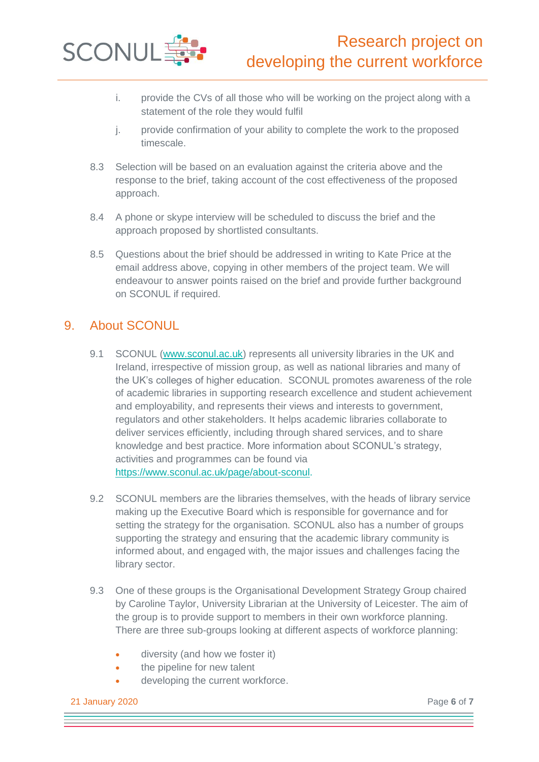

- i. provide the CVs of all those who will be working on the project along with a statement of the role they would fulfil
- j. provide confirmation of your ability to complete the work to the proposed timescale.
- 8.3 Selection will be based on an evaluation against the criteria above and the response to the brief, taking account of the cost effectiveness of the proposed approach.
- 8.4 A phone or skype interview will be scheduled to discuss the brief and the approach proposed by shortlisted consultants.
- 8.5 Questions about the brief should be addressed in writing to Kate Price at the email address above, copying in other members of the project team. We will endeavour to answer points raised on the brief and provide further background on SCONUL if required.

## 9. About SCONUL

- 9.1 SCONUL [\(www.sconul.ac.uk\)](http://www.sconul.ac.uk/) represents all university libraries in the UK and Ireland, irrespective of mission group, as well as national libraries and many of the UK's colleges of higher education. SCONUL promotes awareness of the role of academic libraries in supporting research excellence and student achievement and employability, and represents their views and interests to government, regulators and other stakeholders. It helps academic libraries collaborate to deliver services efficiently, including through shared services, and to share knowledge and best practice. More information about SCONUL's strategy, activities and programmes can be found via [https://www.sconul.ac.uk/page/about-sconul.](https://www.sconul.ac.uk/page/about-sconul)
- 9.2 SCONUL members are the libraries themselves, with the heads of library service making up the Executive Board which is responsible for governance and for setting the strategy for the organisation. SCONUL also has a number of groups supporting the strategy and ensuring that the academic library community is informed about, and engaged with, the major issues and challenges facing the library sector.
- 9.3 One of these groups is the Organisational Development Strategy Group chaired by Caroline Taylor, University Librarian at the University of Leicester. The aim of the group is to provide support to members in their own workforce planning. There are three sub-groups looking at different aspects of workforce planning:
	- diversity (and how we foster it)
	- the pipeline for new talent
	- developing the current workforce.

21 January 2020 Page **6** of **7**